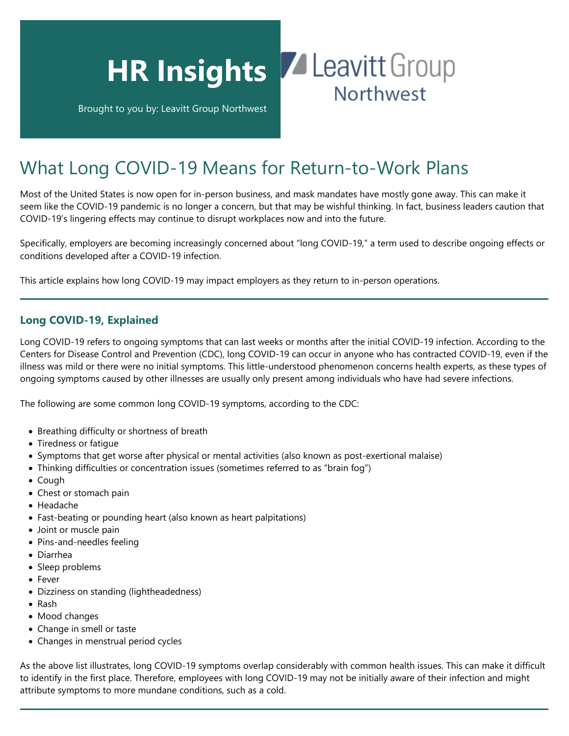

What Long COVID-19 Means for Return-to-Work Plans

Most of the United States is now open for in-person business, and mask mandates have mostly gone away. This can make it seem like the COVID-19 pandemic is no longer a concern, but that may be wishful thinking. In fact, business leaders caution that COVID-19's lingering effects may continue to disrupt workplaces now and into the future.

Specifically, employers are becoming increasingly concerned about "long COVID-19," a term used to describe ongoing effects or conditions developed after a COVID-19 infection.

This article explains how long COVID-19 may impact employers as they return to in-person operations.

## **Long COVID-19, Explained**

Long COVID-19 refers to ongoing symptoms that can last weeks or months after the initial COVID-19 infection. According to the Centers for Disease Control and Prevention (CDC), long COVID-19 can occur in anyone who has contracted COVID-19, even if the illness was mild or there were no initial symptoms. This little-understood phenomenon concerns health experts, as these types of ongoing symptoms caused by other illnesses are usually only present among individuals who have had severe infections.

The following are some common long COVID-19 symptoms, according to the CDC:

- Breathing difficulty or shortness of breath
- Tiredness or fatigue
- Symptoms that get worse after physical or mental activities (also known as post-exertional malaise)
- Thinking difficulties or concentration issues (sometimes referred to as "brain fog")
- Cough
- Chest or stomach pain
- Headache
- Fast-beating or pounding heart (also known as heart palpitations)
- Joint or muscle pain
- Pins-and-needles feeling
- Diarrhea
- Sleep problems
- Fever
- Dizziness on standing (lightheadedness)
- Rash
- Mood changes
- Change in smell or taste
- Changes in menstrual period cycles

As the above list illustrates, long COVID-19 symptoms overlap considerably with common health issues. This can make it difficult to identify in the first place. Therefore, employees with long COVID-19 may not be initially aware of their infection and might attribute symptoms to more mundane conditions, such as a cold.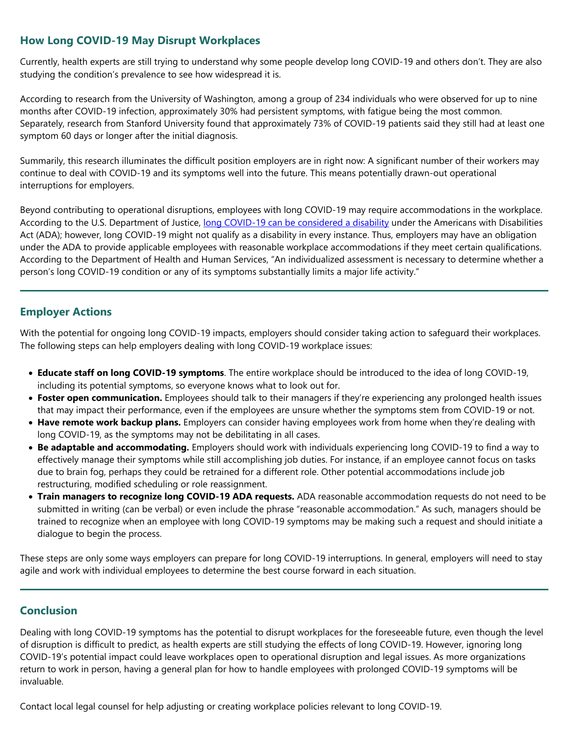## **How Long COVID-19 May Disrupt Workplaces**

Currently, health experts are still trying to understand why some people develop long COVID-19 and others don't. They are also studying the condition's prevalence to see how widespread it is.

According to research from the University of Washington, among a group of 234 individuals who were observed for up to nine months after COVID-19 infection, approximately 30% had persistent symptoms, with fatigue being the most common. Separately, research from Stanford University found that approximately 73% of COVID-19 patients said they still had at least one symptom 60 days or longer after the initial diagnosis.

Summarily, this research illuminates the difficult position employers are in right now: A significant number of their workers may continue to deal with COVID-19 and its symptoms well into the future. This means potentially drawn-out operational interruptions for employers.

Beyond contributing to operational disruptions, employees with long COVID-19 may require accommodations in the workplace. According to the U.S. Department of Justice, [long COVID-19 can be considered a disability](https://www.hhs.gov/civil-rights/for-providers/civil-rights-covid19/guidance-long-covid-disability/index.html#footnote10_0ac8mdc) under the Americans with Disabilities Act (ADA); however, long COVID-19 might not qualify as a disability in every instance. Thus, employers may have an obligation under the ADA to provide applicable employees with reasonable workplace accommodations if they meet certain qualifications. According to the Department of Health and Human Services, "An individualized assessment is necessary to determine whether a person's long COVID-19 condition or any of its symptoms substantially limits a major life activity."

## **Employer Actions**

With the potential for ongoing long COVID-19 impacts, employers should consider taking action to safeguard their workplaces. The following steps can help employers dealing with long COVID-19 workplace issues:

- **Educate staff on long COVID-19 symptoms**. The entire workplace should be introduced to the idea of long COVID-19, including its potential symptoms, so everyone knows what to look out for.
- **Foster open communication.** Employees should talk to their managers if they're experiencing any prolonged health issues that may impact their performance, even if the employees are unsure whether the symptoms stem from COVID-19 or not.
- **Have remote work backup plans.** Employers can consider having employees work from home when they're dealing with long COVID-19, as the symptoms may not be debilitating in all cases.
- **Be adaptable and accommodating.** Employers should work with individuals experiencing long COVID-19 to find a way to effectively manage their symptoms while still accomplishing job duties. For instance, if an employee cannot focus on tasks due to brain fog, perhaps they could be retrained for a different role. Other potential accommodations include job restructuring, modified scheduling or role reassignment.
- **Train managers to recognize long COVID-19 ADA requests.** ADA reasonable accommodation requests do not need to be submitted in writing (can be verbal) or even include the phrase "reasonable accommodation." As such, managers should be trained to recognize when an employee with long COVID-19 symptoms may be making such a request and should initiate a dialogue to begin the process.

These steps are only some ways employers can prepare for long COVID-19 interruptions. In general, employers will need to stay agile and work with individual employees to determine the best course forward in each situation.

## **Conclusion**

Dealing with long COVID-19 symptoms has the potential to disrupt workplaces for the foreseeable future, even though the level of disruption is difficult to predict, as health experts are still studying the effects of long COVID-19. However, ignoring long COVID-19's potential impact could leave workplaces open to operational disruption and legal issues. As more organizations return to work in person, having a general plan for how to handle employees with prolonged COVID-19 symptoms will be invaluable.

Contact local legal counsel for help adjusting or creating workplace policies relevant to long COVID-19.